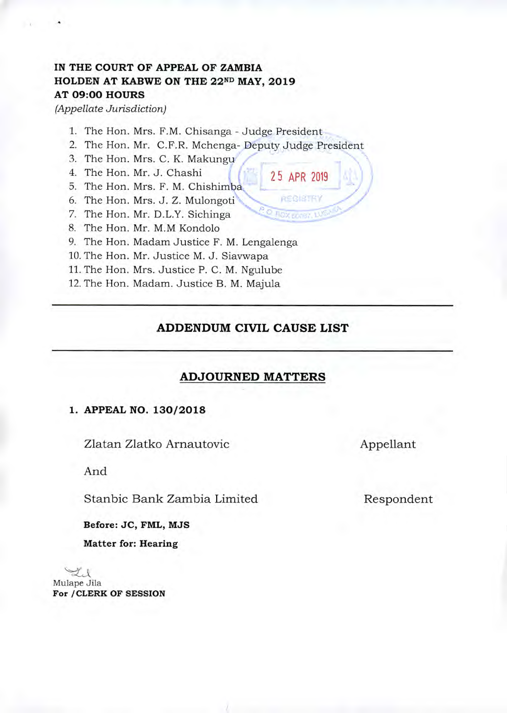# **IN THE COURT OF APPEAL OF ZAMBIA HOLDEN AT KABWE ON THE 22ND MAY, 2019 AT 09:00 HOURS**

*(Appellate Jurisdiction)* 

- 1. The Hon. Mrs. F.M. Chisanga Judge President
- 2. The Hon. Mr. C.F.R. Mchenga- Deputy Judge President
- 3. The Hon. Mrs. C. K. Makungu
- 4. The Hon. Mr. J. Chashi  $\sqrt{(1.25 \text{ APR } 2019)}$
- 5. The Hon. Mrs. F. M. Chishimba
- 6. The Hon. Mrs. J. Z. Mulongoti
- 7. The Hon. Mr. D.L.Y. Sichinga
- 8. The Hon. Mr. M.M Kondolo

9. The Hon. Madam Justice F. M. Lengalenga

- 10. The Hon. Mr. Justice M. J. Siavwapa
- 11. The Hon. Mrs. Justice P. C. M. Ngulube
- 12. The Hon. Madam. Justice B. M. Majula

## **ADDENDUM CIVIL CAUSE LIST**

### **ADJOURNED MATTERS**

#### **1. APPEAL NO. 130/2018**

Ziatan Zlatko Arnautovic

And

Stanbic Bank Zambia Limited

**Before: JC, FML, MJS** 

**Matter for: Hearing** 

Mulape dila **For /CLERK OF SESSION**  Appellant

Respondent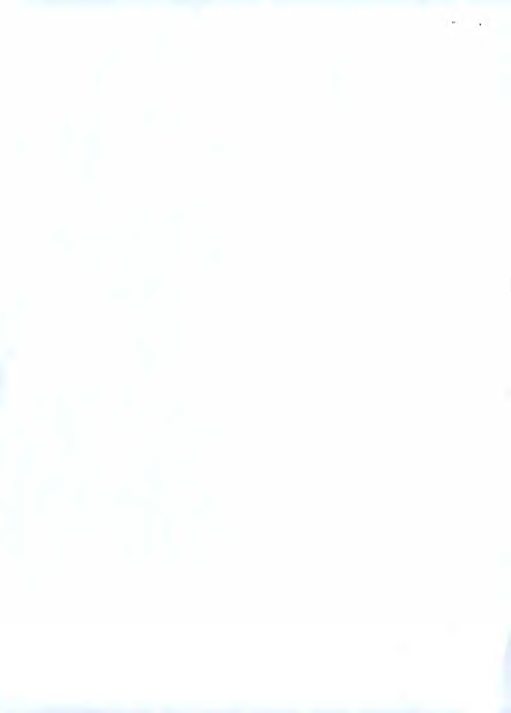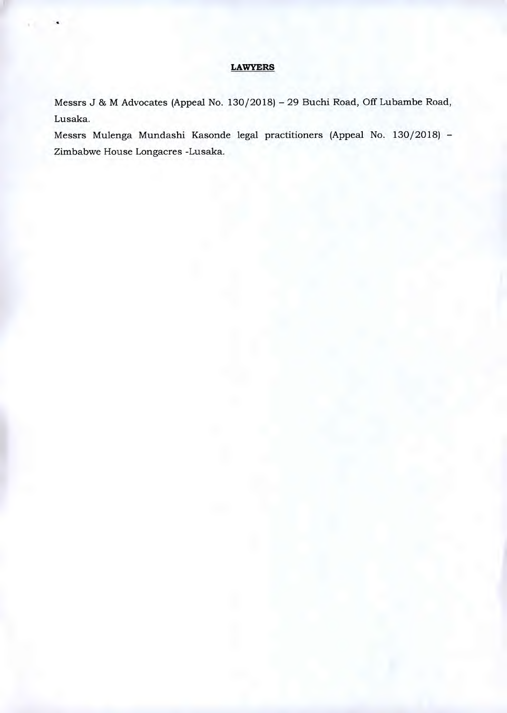#### **LAWYERS**

Messrs J & M Advocates (Appeal No. 130/2018) - 29 Buchi Road, Off Lubambe Road, Lusaka.

Messrs Mulenga Mundashi Kasonde legal practitioners (Appeal No. 130/2018) - Zimbabwe House Longacres -Lusaka.